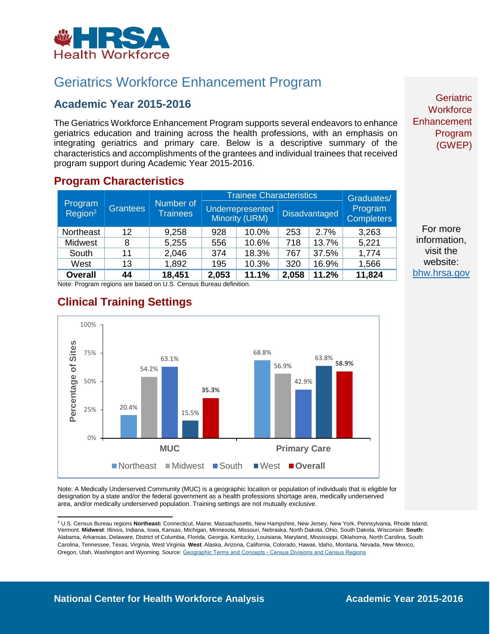

# Geriatrics Workforce Enhancement Program

### **Academic Year 2015-2016**

The Geriatrics Workforce Enhancement Program supports several endeavors to enhance geriatrics education and training across the health professions, with an emphasis on integrating geriatrics and primary care. Below is a descriptive summary of the characteristics and accomplishments of the grantees and individual trainees that received program support during Academic Year 2015-2016.

#### **Program Characteristics**

| Program<br>Region <sup>2</sup> | <b>Grantees</b> | Number of<br><b>Trainees</b> | <b>Trainee Characteristics</b> |                                           |       |                      | Graduates/                   |
|--------------------------------|-----------------|------------------------------|--------------------------------|-------------------------------------------|-------|----------------------|------------------------------|
|                                |                 |                              |                                | <b>Underrepresented</b><br>Minority (URM) |       | <b>Disadvantaged</b> | Program<br><b>Completers</b> |
| <b>Northeast</b>               | $12 \,$         | 9,258                        | 928                            | 10.0%                                     | 253   | 2.7%                 | 3,263                        |
| Midwest                        | 8               | 5,255                        | 556                            | 10.6%                                     | 718   | 13.7%                | 5,221                        |
| South                          | 11              | 2,046                        | 374                            | 18.3%                                     | 767   | 37.5%                | 1,774                        |
| West                           | 13              | 1,892                        | 195                            | 10.3%                                     | 320   | 16.9%                | 1,566                        |
| <b>Overall</b>                 | 44              | 18,451                       | 2,053                          | 11.1%                                     | 2,058 | 11.2%                | 11,824                       |

Note: Program regions are based on U.S. Census Bureau definition.



**Clinical Training Settings**

Note: A Medically Underserved Community (MUC) is a geographic location or population of individuals that is eligible for designation by a state and/or the federal government as a health professions shortage area, medically underserved area, and/or medically underserved population. Training settings are not mutually exclusive.

**Geriatric Workforce Enhancement** Program (GWEP)

For more information, visit the website: [bhw.hrsa.gov](http://bhw.hrsa.gov/)

<sup>2</sup> U.S. Census Bureau regions **Northeast:** Connecticut, Maine, Massachusetts, New Hampshire, New Jersey, New York, Pennsylvania, Rhode Island, Vermont. **Midwest**: Illinois, Indiana, Iowa, Kansas, Michigan, Minnesota, Missouri, Nebraska, North Dakota, Ohio, South Dakota, Wisconsin. **South:** Alabama, Arkansas, Delaware, District of Columbia, Florida, Georgia, Kentucky, Louisiana, Maryland, Mississippi, Oklahoma, North Carolina, South Carolina, Tennessee, Texas, Virginia, West Virginia. **West**: Alaska, Arizona, California, Colorado, Hawaii, Idaho, Montana, Nevada, New Mexico, Oregon, Utah, Washington and Wyoming. Source: [Geographic Terms and Concepts - Census Divisions and Census Regions](https://www.census.gov/geo/reference/gtc/gtc_census_divreg.html)